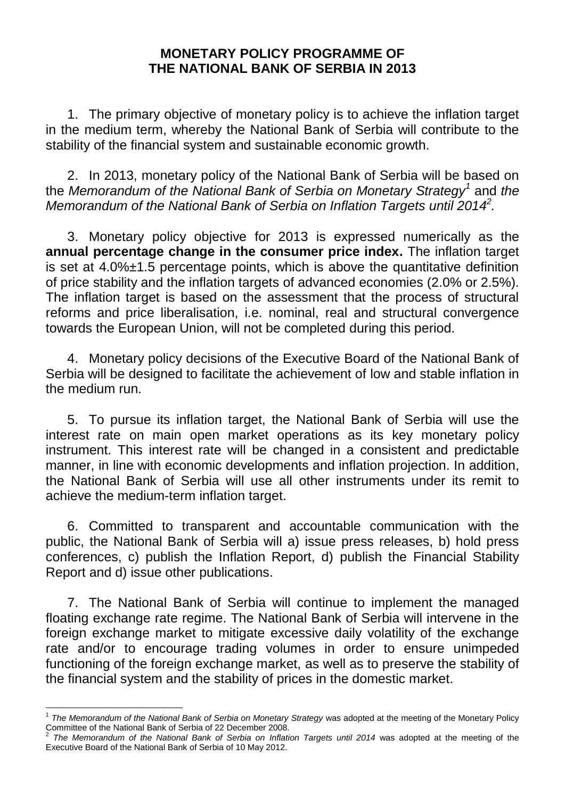## **MONETARY POLICY PROGRAMME OF THE NATIONAL BANK OF SERBIA IN 2013**

1. The primary objective of monetary policy is to achieve the inflation target in the medium term, whereby the National Bank of Serbia will contribute to the stability of the financial system and sustainable economic growth.

2. In 2013, monetary policy of the National Bank of Serbia will be based on the *Memorandum of the National Bank of Serbia on Monetary Strategy<sup>1</sup>* and *the Memorandum of the National Bank of Serbia on Inflation Targets until 2014<sup>2</sup> .*

3. Monetary policy objective for 2013 is expressed numerically as the **annual percentage change in the consumer price index.** The inflation target is set at  $4.0\% \pm 1.5$  percentage points, which is above the quantitative definition of price stability and the inflation targets of advanced economies (2.0% or 2.5%). The inflation target is based on the assessment that the process of structural reforms and price liberalisation, i.e. nominal, real and structural convergence towards the European Union, will not be completed during this period.

4. Monetary policy decisions of the Executive Board of the National Bank of Serbia will be designed to facilitate the achievement of low and stable inflation in the medium run.

5. To pursue its inflation target, the National Bank of Serbia will use the interest rate on main open market operations as its key monetary policy instrument. This interest rate will be changed in a consistent and predictable manner, in line with economic developments and inflation projection. In addition, the National Bank of Serbia will use all other instruments under its remit to achieve the medium-term inflation target.

6. Committed to transparent and accountable communication with the public, the National Bank of Serbia will a) issue press releases, b) hold press conferences, c) publish the Inflation Report, d) publish the Financial Stability Report and d) issue other publications.

7. The National Bank of Serbia will continue to implement the managed floating exchange rate regime. The National Bank of Serbia will intervene in the foreign exchange market to mitigate excessive daily volatility of the exchange rate and/or to encourage trading volumes in order to ensure unimpeded functioning of the foreign exchange market, as well as to preserve the stability of the financial system and the stability of prices in the domestic market.

 $\overline{a}$ 

<sup>&</sup>lt;sup>1</sup> The Memorandum of the National Bank of Serbia on Monetary Strategy was adopted at the meeting of the Monetary Policy Committee of the National Bank of Serbia of 22 December 2008.<br><sup>2</sup> The Mamarandum of the National Bank of Serbia on Inflat

*The Memorandum of the National Bank of Serbia on Inflation Targets until 2014* was adopted at the meeting of the Executive Board of the National Bank of Serbia of 10 May 2012.